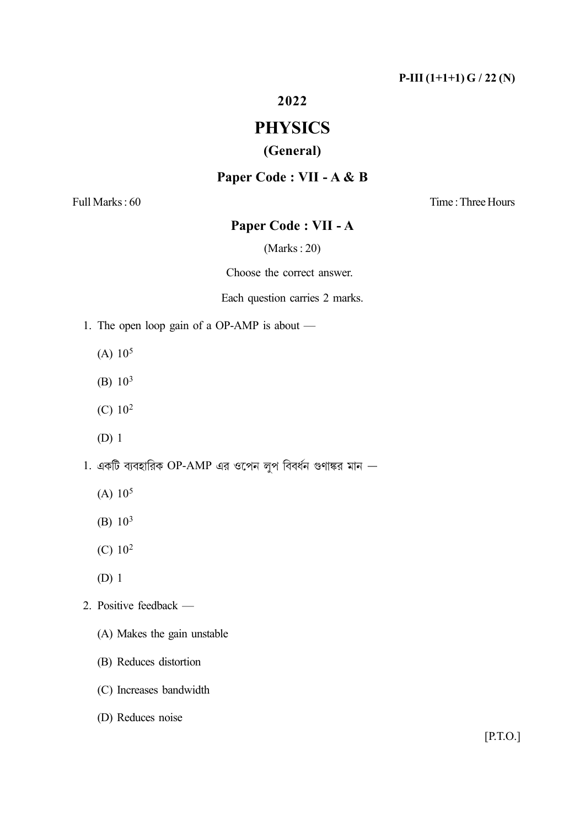#### P-III  $(1+1+1) G / 22 (N)$

### 2022

# **PHYSICS**

## (General)

# Paper Code : VII - A & B

Full Marks : 60 Time : Three Hours

## Paper Code : VII - A

#### (Marks : 20)

Choose the correct answer.

#### Each question carries 2 marks.

- 1. The open loop gain of a OP-AMP is about
	- $(A) 10^5$
	- (B) 10<sup>3</sup>
	- (C)  $10^2$
	- (D) 1
- $1.$  একটি ব্যবহারিক OP-AMP এর ওপেন লুপ বিবর্ধন গুণাঙ্কর মান  $-$ 
	- $(A) 10<sup>5</sup>$
	- (B)  $10^3$
	- (C)  $10^2$
	- (D) 1
- 2. Positive feedback
	- (A) Makes the gain unstable
	- (B) Reduces distortion
	- (C) Increases bandwidth
	- (D) Reduces noise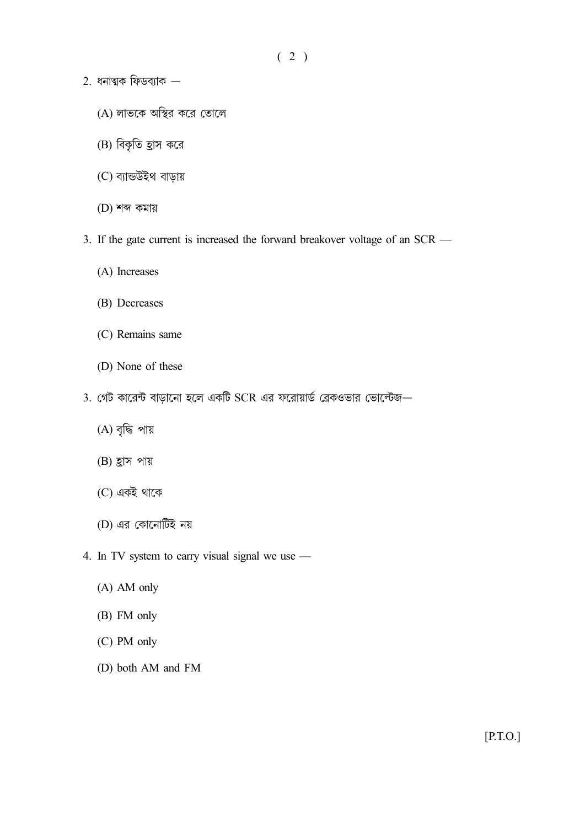- 2. ধনাত্মক ফিডব্যাক  $-$ 
	- (A) লাভকে অস্থির করে তোলে
	- (B) বিকৃতি হ্রাস করে
	- (C) ব্যান্ডউইথ বাড়ায়
	- (D) শব্দ কমায়
- 3. If the gate current is increased the forward breakover voltage of an SCR
	- (A) Increases
	- (B) Decreases
	- (C) Remains same
	- (D) None of these
- $3.$  গেট কারেন্ট বাড়ানো হলে একটি SCR এর ফরোয়ার্ড ব্রেকওভার ভোল্টেজ $-$ 
	- (A) বৃদ্ধি পায়
	- (B) হ্ৰাস পায়
	- (C) একই থাকে
	- (D)
- 4. In TV system to carry visual signal we use
	- (A) AM only
	- (B) FM only
	- (C) PM only
	- (D) both AM and FM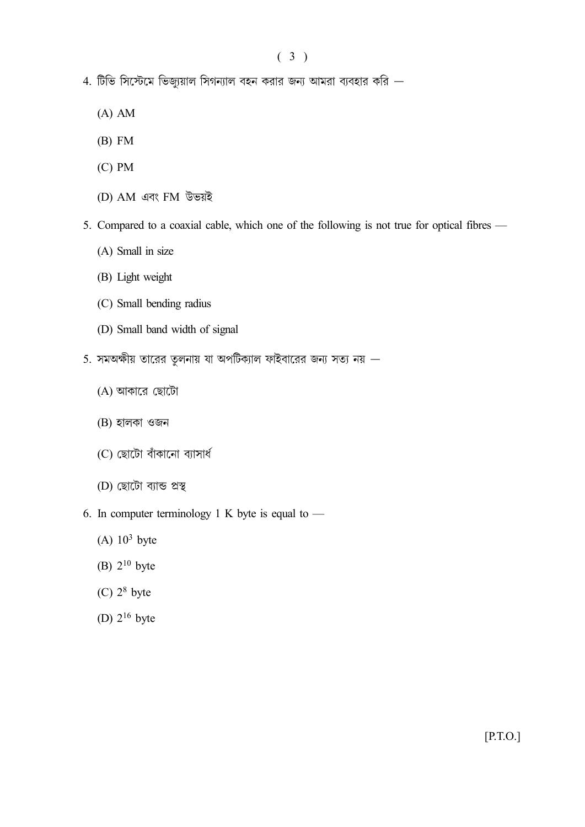- $4.$  টিভি সিস্টেমে ভিজ্যয়াল সিগন্যাল বহন করার জন্য আমরা ব্যবহার করি  $-$ 
	- (A) AM
	- (B) FM
	- (C) PM
	- $(D)$  AM এবং FM উভয়ই
- 5. Compared to a coaxial cable, which one of the following is not true for optical fibres
	- (A) Small in size
	- (B) Light weight
	- (C) Small bending radius
	- (D) Small band width of signal
- $5.$  সমঅক্ষীয় তারের তুলনায় যা অপটিক্যাল ফাইবারের জন্য সত্য নয়
	- (A)
	- (B)
	- (C) ছোটো বাঁকানো ব্যাসাৰ্ধ
	- (D)
- 6. In computer terminology 1 K byte is equal to  $-$ 
	- $(A)$  10<sup>3</sup> byte
	- (B)  $2^{10}$  byte
	- $(C)$  2<sup>8</sup> byte
	- (D)  $2^{16}$  byte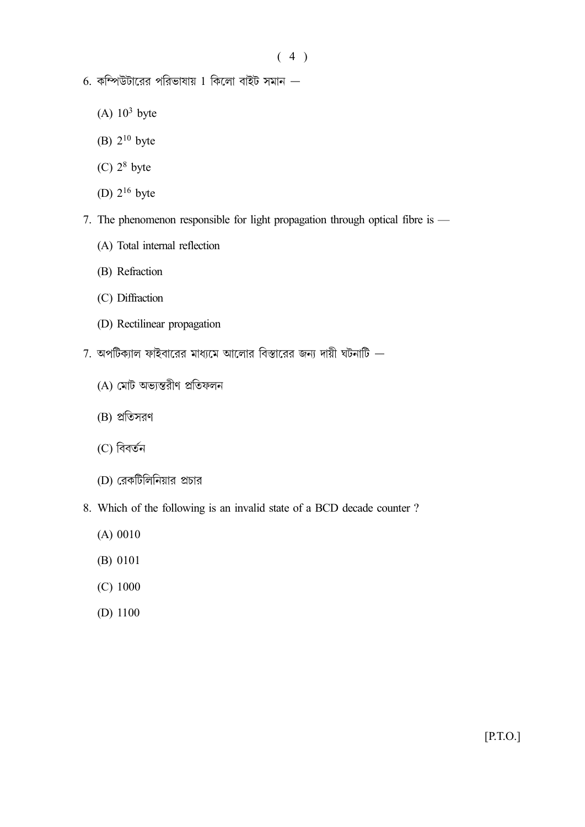- $6.$  কম্পিউটারের পরিভাষায়  $1$  কিলো বাইট সমান  $-$ 
	- $(A)$  10<sup>3</sup> byte
	- (B)  $2^{10}$  byte
	- $(C)$  2<sup>8</sup> byte
	- (D)  $2^{16}$  byte
- 7. The phenomenon responsible for light propagation through optical fibre is
	- (A) Total internal reflection
	- (B) Refraction
	- (C) Diffraction
	- (D) Rectilinear propagation
- $7.$  অপটিক্যাল ফাইবারের মাধ্যমে আলোর বিস্তারের জন্য দায়ী ঘটনাটি
	- (A) মোট অভ্যন্তরীণ প্রতিফলন
	- (B) প্রতিসরণ
	- $(C)$  বিবর্তন
	- (D)
- 8. Which of the following is an invalid state of a BCD decade counter ?
	- (A) 0010
	- (B) 0101
	- (C) 1000
	- (D) 1100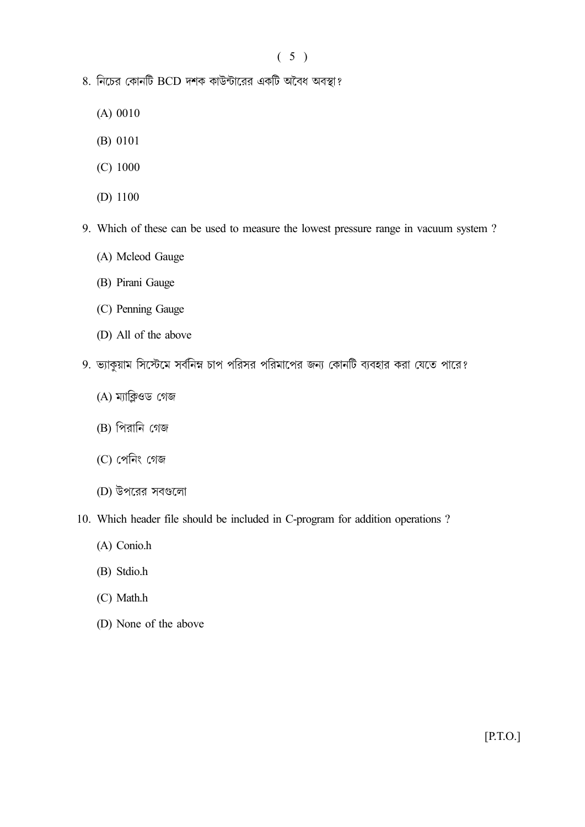- 8. নিচের কোনটি BCD দশক কাউন্টারের একটি অবৈধ অবস্থা?
	- (A) 0010
	- (B) 0101
	- (C) 1000
	- (D) 1100
- 9. Which of these can be used to measure the lowest pressure range in vacuum system ?
	- (A) Mcleod Gauge
	- (B) Pirani Gauge
	- (C) Penning Gauge
	- (D) All of the above
- 9. ভ্যাকুয়াম সিস্টেমে সর্বনিম্ন চাপ পরিসর পরিমাপের জন্য কোনটি ব্যবহার করা যেতে পারে?
	- (A) ম্যাক্লিওড গেজ
	- (B) পিরানি গেজ
	- (C) পেনিং গেজ
	- (D) উপরের সবগুলো
- 10. Which header file should be included in C-program for addition operations ?
	- (A) Conio.h
	- (B) Stdio.h
	- (C) Math.h
	- (D) None of the above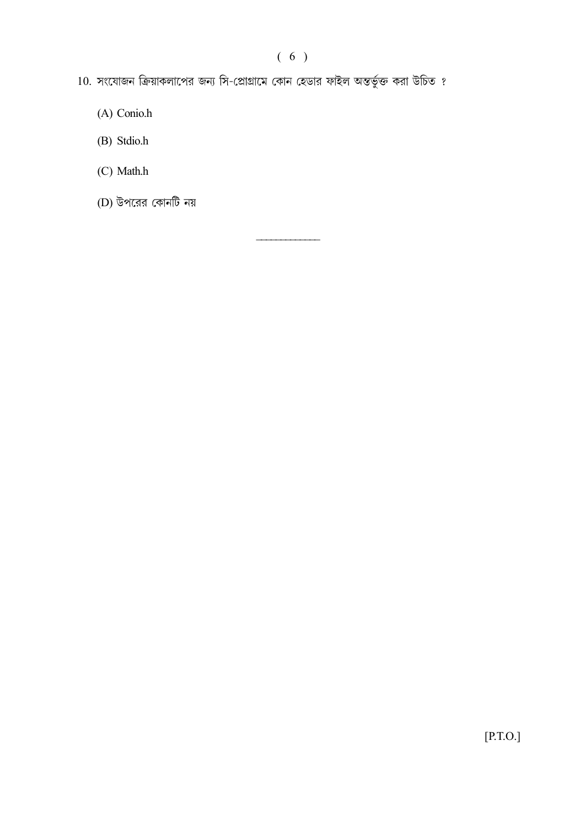$\mathcal{L}=\mathcal{L}^{\mathcal{L}}$ 

- 10. সংযোজন ক্রিয়াকলাপের জন্য সি-প্রোগ্রামে কোন হেডার ফাইল অন্তর্ভুক্ত করা উচিত ?
	- (A) Conio.h
	- (B) Stdio.h
	- (C) Math.h
	- (D)

[P.T.O.]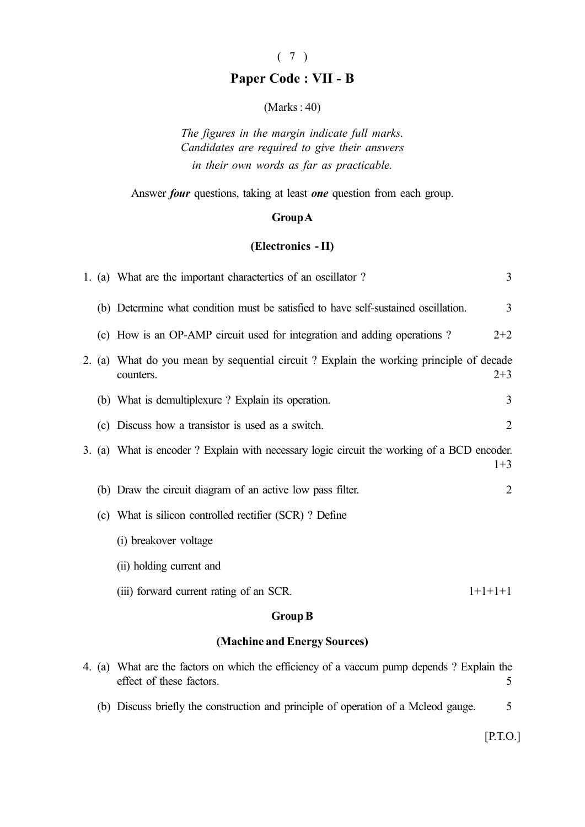# ( 7 )

# Paper Code : VII - B

(Marks : 40)

The figures in the margin indicate full marks. Candidates are required to give their answers in their own words as far as practicable.

Answer *four* questions, taking at least *one* question from each group.

### Group A

### (Electronics - II)

|                | (Machine and Energy Sources) |                                                                                                      |                |  |  |
|----------------|------------------------------|------------------------------------------------------------------------------------------------------|----------------|--|--|
| <b>Group B</b> |                              |                                                                                                      |                |  |  |
|                |                              | (iii) forward current rating of an SCR.                                                              | $1+1+1+1$      |  |  |
|                |                              | (ii) holding current and                                                                             |                |  |  |
|                |                              | (i) breakover voltage                                                                                |                |  |  |
|                |                              | (c) What is silicon controlled rectifier (SCR) ? Define                                              |                |  |  |
|                |                              | (b) Draw the circuit diagram of an active low pass filter.                                           | 2              |  |  |
|                |                              | 3. (a) What is encoder ? Explain with necessary logic circuit the working of a BCD encoder.          | $1+3$          |  |  |
|                |                              | (c) Discuss how a transistor is used as a switch.                                                    | $\overline{2}$ |  |  |
|                |                              | (b) What is demultiplexure ? Explain its operation.                                                  | 3              |  |  |
|                |                              | 2. (a) What do you mean by sequential circuit ? Explain the working principle of decade<br>counters. | $2 + 3$        |  |  |
|                |                              | (c) How is an OP-AMP circuit used for integration and adding operations?                             | $2 + 2$        |  |  |
|                |                              | (b) Determine what condition must be satisfied to have self-sustained oscillation.                   | 3              |  |  |
|                |                              | 1. (a) What are the important charactertics of an oscillator?                                        | 3              |  |  |

|  | 4. (a) What are the factors on which the efficiency of a vaccum pump depends? Explain the<br>effect of these factors. |                |
|--|-----------------------------------------------------------------------------------------------------------------------|----------------|
|  | (b) Discuss briefly the construction and principle of operation of a Mcleod gauge.                                    | $\overline{5}$ |

[P.T.O.]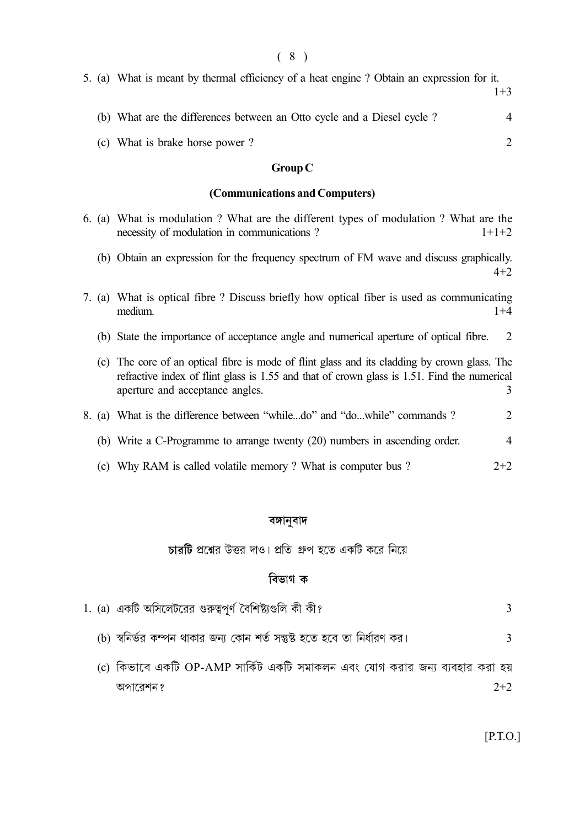( 8 )

|  | 5. (a) What is meant by thermal efficiency of a heat engine ? Obtain an expression for it.<br>$1 + 3$                                                                                                                               |
|--|-------------------------------------------------------------------------------------------------------------------------------------------------------------------------------------------------------------------------------------|
|  | (b) What are the differences between an Otto cycle and a Diesel cycle?<br>4                                                                                                                                                         |
|  | (c) What is brake horse power?<br>2                                                                                                                                                                                                 |
|  | <b>Group C</b>                                                                                                                                                                                                                      |
|  | (Communications and Computers)                                                                                                                                                                                                      |
|  | 6. (a) What is modulation ? What are the different types of modulation ? What are the<br>necessity of modulation in communications?<br>$1+1+2$                                                                                      |
|  | (b) Obtain an expression for the frequency spectrum of FM wave and discuss graphically.<br>$4 + 2$                                                                                                                                  |
|  | 7. (a) What is optical fibre ? Discuss briefly how optical fiber is used as communicating<br>medium.<br>$1+4$                                                                                                                       |
|  | (b) State the importance of acceptance angle and numerical aperture of optical fibre.<br>2                                                                                                                                          |
|  | (c) The core of an optical fibre is mode of flint glass and its cladding by crown glass. The<br>refractive index of flint glass is 1.55 and that of crown glass is 1.51. Find the numerical<br>aperture and acceptance angles.<br>3 |
|  | 8. (a) What is the difference between "whiledo" and "dowhile" commands ?<br>2                                                                                                                                                       |
|  | (b) Write a C-Programme to arrange twenty (20) numbers in ascending order.<br>4                                                                                                                                                     |
|  | (c) Why RAM is called volatile memory? What is computer bus?<br>$2 + 2$                                                                                                                                                             |
|  |                                                                                                                                                                                                                                     |
|  | বঙ্গানুবাদ                                                                                                                                                                                                                          |
|  | াচরটি প্রশ্নের উত্তর দাও। প্রতি গ্রুপ হতে একটি করে নিয়ে                                                                                                                                                                            |
|  | বিভাগ ক                                                                                                                                                                                                                             |
|  | 1. (a) একটি অসিলেটরের গুরুত্বপূর্ণ বৈশিষ্ট্যগুলি কী কী?<br>3                                                                                                                                                                        |
|  | (b) স্বনির্ভর কম্পন থাকার জন্য কোন শর্ত সন্তুষ্ট হতে হবে তা নির্ধারণ কর।<br>3                                                                                                                                                       |

(c) কিভাবে একটি OP-AMP সার্কিট একটি সমাকলন এবং যোগ করার জন্য ব্যবহার করা হয় 2+2অপারেশন?

[P.T.O.]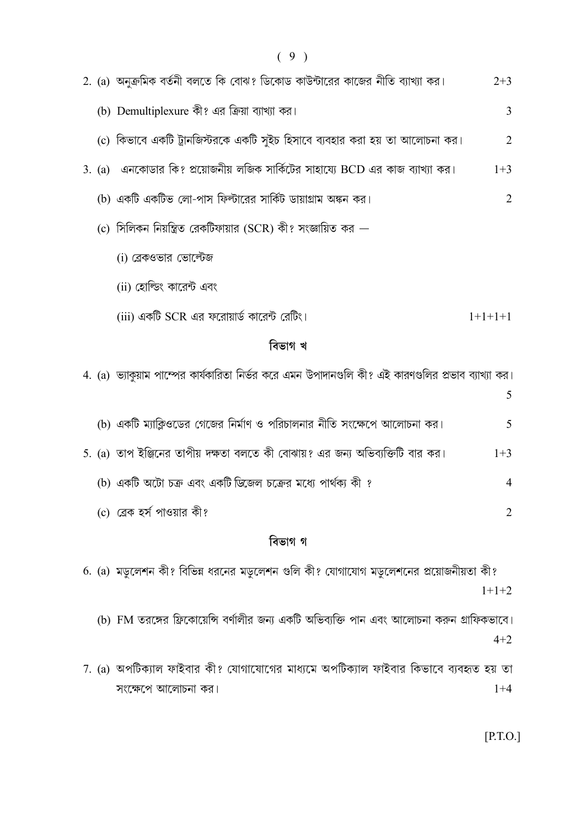|         |  | 2. (a) অনুক্রমিক বর্তনী বলতে কি বোঝ? ডিকোড কাউন্টারের কাজের নীতি ব্যাখ্যা কর।                        | $2 + 3$        |
|---------|--|------------------------------------------------------------------------------------------------------|----------------|
|         |  | (b) Demultiplexure কী? এর ক্রিয়া ব্যাখ্যা কর।                                                       | 3              |
|         |  | (c) কিভাবে একটি ট্রানজিস্টরকে একটি সুইচ হিসাবে ব্যবহার করা হয় তা আলোচনা কর।                         | $\overline{2}$ |
|         |  | 3. (a) এনকোডার কি? প্রয়োজনীয় লজিক সার্কিটের সাহায্যে BCD এর কাজ ব্যাখ্যা কর।                       | $1+3$          |
|         |  | (b) একটি একটিভ লো-পাস ফিল্টারের সার্কিট ডায়াগ্রাম অঙ্কন কর।                                         | 2              |
|         |  | (c) সিলিকন নিয়ন্ত্রিত রেকটিফায়ার (SCR) কী? সংজ্ঞায়িত কর —                                         |                |
|         |  | (i) ব্রেকওভার ভোল্টেজ                                                                                |                |
|         |  | (ii) হোল্ডিং কারেন্ট এবং                                                                             |                |
|         |  | (iii) একটি SCR এর ফরোয়ার্ড কারেন্ট রেটিং।                                                           | $1+1+1+1$      |
|         |  | বিভাগ খ                                                                                              |                |
|         |  | 4. (a) ভ্যাকুয়াম পাম্পের কার্যকারিতা নির্ভর করে এমন উপাদানগুলি কী? এই কারণগুলির প্রভাব ব্যাখ্যা কর। |                |
|         |  |                                                                                                      | 5              |
|         |  | (b) একটি ম্যাক্লিওডের গেজের নির্মাণ ও পরিচালনার নীতি সংক্ষেপে আলোচনা কর।                             | 5              |
|         |  | 5. (a) তাপ ইঞ্জিনের তাপীয় দক্ষতা বলতে কী বোঝায়? এর জন্য অভিব্যক্তিটি বার কর।                       | $1+3$          |
|         |  | (b) একটি অটো চক্র এবং একটি ডিজেল চক্রের মধ্যে পার্থক্য কী ?                                          | $\overline{4}$ |
|         |  | (c) ব্ৰেক হৰ্স পাওয়ার কী?                                                                           | 2              |
| বিভাগ গ |  |                                                                                                      |                |
|         |  | 6. (a) মডুলেশন কী? বিভিন্ন ধরনের মডুলেশন গুলি কী? যোগাযোগ মডুলেশনের প্রয়োজনীয়তা কী?                |                |
|         |  |                                                                                                      | $1+1+2$        |
|         |  | (b) FM তরঙ্গের ফ্রিকোয়েন্সি বর্ণালীর জন্য একটি অভিব্যক্তি পান এবং আলোচনা করুন গ্রাফিকভাবে।          |                |
|         |  |                                                                                                      | $4 + 2$        |
|         |  | 7. (a) অপটিক্যাল ফাইবার কী? যোগাযোগের মাধ্যমে অপটিক্যাল ফাইবার কিভাবে ব্যবহৃত হয় তা                 |                |
|         |  | সংক্ষেপে আলোচনা কর।                                                                                  | $1+4$          |